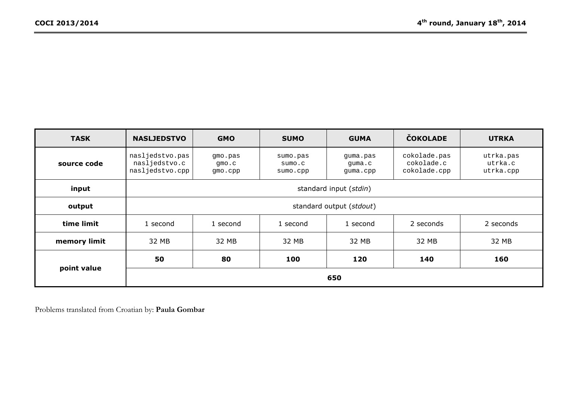| <b>TASK</b>  | <b>NASLJEDSTVO</b>                                  | <b>GMO</b>                  | <b>SUMO</b>                    | <b>GUMA</b>                    | <b>ČOKOLADE</b>                            | <b>UTRKA</b>                      |
|--------------|-----------------------------------------------------|-----------------------------|--------------------------------|--------------------------------|--------------------------------------------|-----------------------------------|
| source code  | nasljedstvo.pas<br>nasljedstvo.c<br>nasljedstvo.cpp | gmo.pas<br>qmo.c<br>gmo.cpp | sumo.pas<br>sumo.c<br>sumo.cpp | guma.pas<br>quma.c<br>guma.cpp | cokolade.pas<br>cokolade.c<br>cokolade.cpp | utrka.pas<br>utrka.c<br>utrka.cpp |
| input        |                                                     |                             |                                | standard input (stdin)         |                                            |                                   |
| output       | standard output (stdout)                            |                             |                                |                                |                                            |                                   |
| time limit   | 1 second                                            | 1 second                    | 1 second                       | 1 second                       | 2 seconds                                  | 2 seconds                         |
| memory limit | 32 MB                                               | 32 MB                       | 32 MB                          | 32 MB                          | 32 MB                                      | 32 MB                             |
|              | 50                                                  | 80                          | 100                            | 120                            | 140                                        | 160                               |
| point value  | 650                                                 |                             |                                |                                |                                            |                                   |

Problems translated from Croatian by: **Paula Gombar**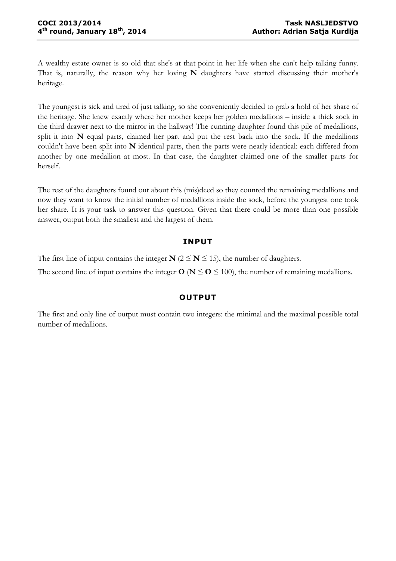A wealthy estate owner is so old that she's at that point in her life when she can't help talking funny. That is, naturally, the reason why her loving **N** daughters have started discussing their mother's heritage.

The youngest is sick and tired of just talking, so she conveniently decided to grab a hold of her share of the heritage. She knew exactly where her mother keeps her golden medallions – inside a thick sock in the third drawer next to the mirror in the hallway! The cunning daughter found this pile of medallions, split it into **N** equal parts, claimed her part and put the rest back into the sock. If the medallions couldn't have been split into **N** identical parts, then the parts were nearly identical: each differed from another by one medallion at most. In that case, the daughter claimed one of the smaller parts for herself.

The rest of the daughters found out about this (mis)deed so they counted the remaining medallions and now they want to know the initial number of medallions inside the sock, before the youngest one took her share. It is your task to answer this question. Given that there could be more than one possible answer, output both the smallest and the largest of them.

### **INPUT**

The first line of input contains the integer  $N$  ( $2 \le N \le 15$ ), the number of daughters.

The second line of input contains the integer  $O (N \leq O \leq 100)$ , the number of remaining medallions.

# **OUTPUT**

The first and only line of output must contain two integers: the minimal and the maximal possible total number of medallions.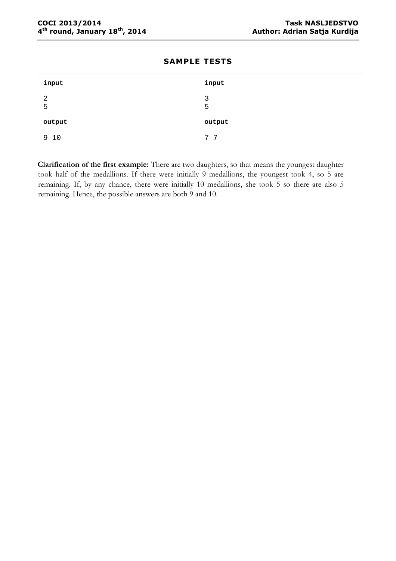| input               | input               |
|---------------------|---------------------|
| $\overline{2}$<br>5 | $\overline{3}$<br>5 |
| output              | output              |
| 9 10                | 7 7                 |
|                     |                     |

**Clarification of the first example:** There are two daughters, so that means the youngest daughter took half of the medallions. If there were initially 9 medallions, the youngest took 4, so 5 are remaining. If, by any chance, there were initially 10 medallions, she took 5 so there are also 5 remaining. Hence, the possible answers are both 9 and 10.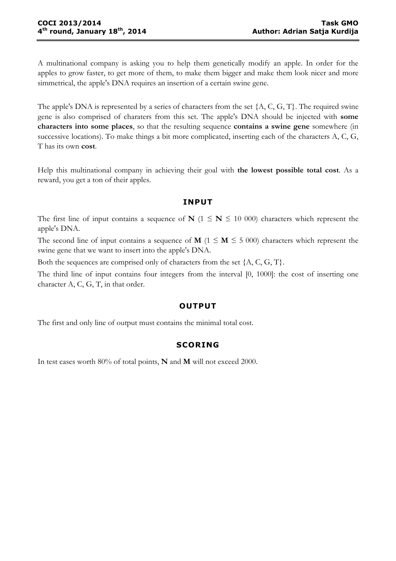A multinational company is asking you to help them genetically modify an apple. In order for the apples to grow faster, to get more of them, to make them bigger and make them look nicer and more simmetrical, the apple's DNA requires an insertion of a certain swine gene.

The apple's DNA is represented by a series of characters from the set {A, C, G, T}. The required swine gene is also comprised of charaters from this set. The apple's DNA should be injected with **some characters into some places**, so that the resulting sequence **contains a swine gene** somewhere (in successive locations). To make things a bit more complicated, inserting each of the characters A, C, G, T has its own **cost**.

Help this multinational company in achieving their goal with **the lowest possible total cost**. As a reward, you get a ton of their apples.

#### **INPUT**

The first line of input contains a sequence of **N** ( $1 \leq N \leq 10000$ ) characters which represent the apple's DNA.

The second line of input contains a sequence of **M** ( $1 \le M \le 5000$ ) characters which represent the swine gene that we want to insert into the apple's DNA.

Both the sequences are comprised only of characters from the set {A, C, G, T}.

The third line of input contains four integers from the interval [0, 1000]: the cost of inserting one character A, C, G, T, in that order.

### **OUTPUT**

The first and only line of output must contains the minimal total cost.

### **SCORING**

In test cases worth 80% of total points, **N** and **M** will not exceed 2000.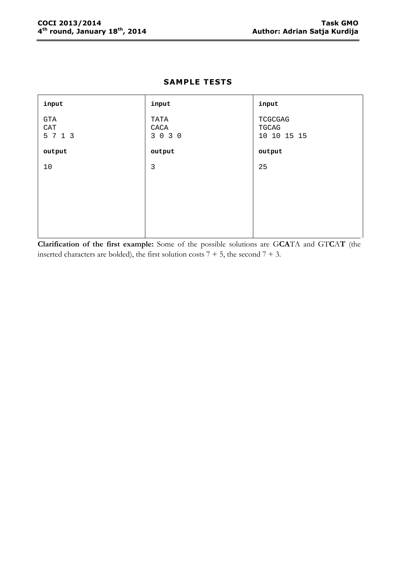| input                        | input                   | input                           |
|------------------------------|-------------------------|---------------------------------|
| <b>GTA</b><br>CAT<br>5 7 1 3 | TATA<br>CACA<br>3 0 3 0 | TCGCGAG<br>TGCAG<br>10 10 15 15 |
| output                       | output                  | output                          |
| 10                           | 3                       | 25                              |
|                              |                         |                                 |
|                              |                         |                                 |
|                              |                         |                                 |
|                              |                         |                                 |

**Clarification of the first example:** Some of the possible solutions are G**CA**TA and GT**C**A**T** (the inserted characters are bolded), the first solution costs  $7 + 5$ , the second  $7 + 3$ .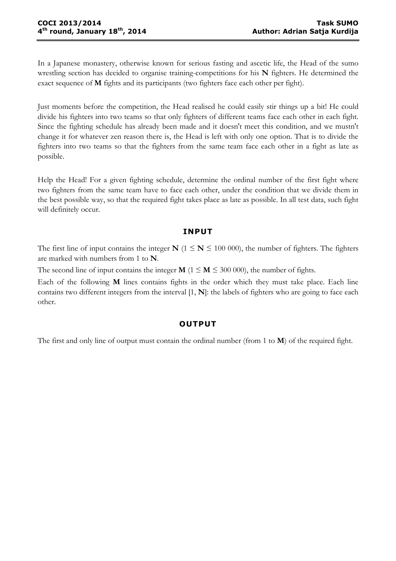In a Japanese monastery, otherwise known for serious fasting and ascetic life, the Head of the sumo wrestling section has decided to organise training-competitions for his **N** fighters. He determined the exact sequence of **M** fights and its participants (two fighters face each other per fight).

Just moments before the competition, the Head realised he could easily stir things up a bit! He could divide his fighters into two teams so that only fighters of different teams face each other in each fight. Since the fighting schedule has already been made and it doesn't meet this condition, and we mustn't change it for whatever zen reason there is, the Head is left with only one option. That is to divide the fighters into two teams so that the fighters from the same team face each other in a fight as late as possible.

Help the Head! For a given fighting schedule, determine the ordinal number of the first fight where two fighters from the same team have to face each other, under the condition that we divide them in the best possible way, so that the required fight takes place as late as possible. In all test data, such fight will definitely occur.

### **INPUT**

The first line of input contains the integer **N** ( $1 \leq N \leq 100000$ ), the number of fighters. The fighters are marked with numbers from 1 to **N**.

The second line of input contains the integer  $M$  ( $1 \le M \le 300000$ ), the number of fights.

Each of the following **M** lines contains fights in the order which they must take place. Each line contains two different integers from the interval [1, **N**]: the labels of fighters who are going to face each other.

#### **OUTPUT**

The first and only line of output must contain the ordinal number (from 1 to **M**) of the required fight.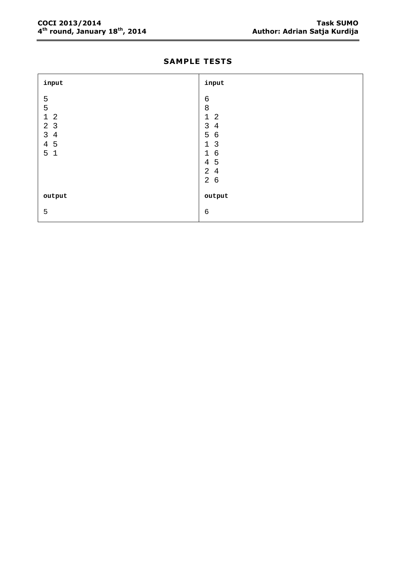#### **COCI 2013/2014 Task SUMO 4**

| input                          | input                            |
|--------------------------------|----------------------------------|
| 5                              | $\epsilon$                       |
| 5                              | 8                                |
| $1\quad2$                      | $\mathbf 1$<br>2                 |
| 2 <sub>3</sub>                 | $\mathsf{3}$<br>$\overline{4}$   |
| $\mathsf{3}$<br>$\overline{4}$ | 5<br>$\epsilon$                  |
| 4 5                            | $\overline{3}$<br>$\mathbf{1}$   |
| 5 <sub>1</sub>                 | $\epsilon$<br>$\mathbf{1}$       |
|                                | 5<br>$\overline{4}$              |
|                                | $\overline{2}$<br>$\overline{4}$ |
|                                | $\overline{a}$<br>$\epsilon$     |
|                                |                                  |
| output                         | output                           |
| 5                              | $\epsilon$                       |

# **SAMPLE TESTS**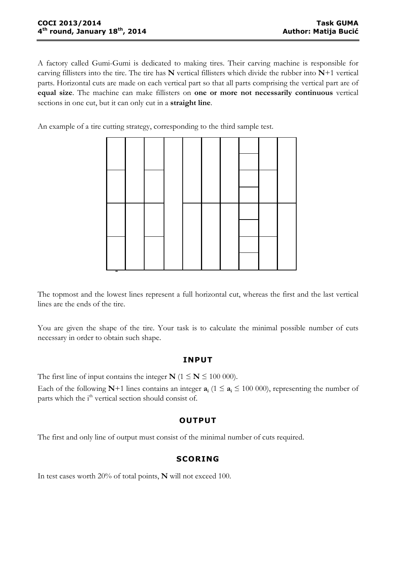A factory called Gumi-Gumi is dedicated to making tires. Their carving machine is responsible for carving fillisters into the tire. The tire has **N** vertical fillisters which divide the rubber into **N**+1 vertical parts. Horizontal cuts are made on each vertical part so that all parts comprising the vertical part are of **equal size**. The machine can make fillisters on **one or more not necessarily continuous** vertical sections in one cut, but it can only cut in a **straight line**.

An example of a tire cutting strategy, corresponding to the third sample test.



The topmost and the lowest lines represent a full horizontal cut, whereas the first and the last vertical lines are the ends of the tire.

You are given the shape of the tire. Your task is to calculate the minimal possible number of cuts necessary in order to obtain such shape.

### **INPUT**

The first line of input contains the integer  $N$  ( $1 \le N \le 100000$ ).

Each of the following **N**+1 lines contains an integer  $a_i$  (1  $\le a_i \le 100000$ ), representing the number of parts which the  $i<sup>th</sup>$  vertical section should consist of.

### **OUTPUT**

The first and only line of output must consist of the minimal number of cuts required.

# **SCORING**

In test cases worth 20% of total points, **N** will not exceed 100.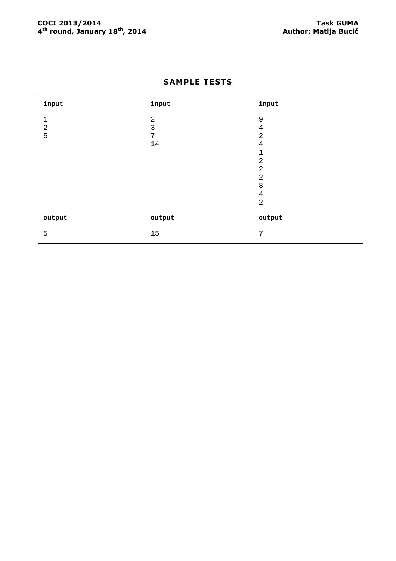| input       | input          | input          |
|-------------|----------------|----------------|
| $\mathbf 1$ | $\sqrt{2}$     | $\mathsf 9$    |
| $\sqrt{2}$  | $\mathfrak{Z}$ | $\sqrt{4}$     |
| 5           | $\overline{7}$ | $\overline{2}$ |
|             | 14             | $\sqrt{4}$     |
|             |                | $\mathbf{1}$   |
|             |                | $\sqrt{2}$     |
|             |                | $\sqrt{2}$     |
|             |                | $\sqrt{2}$     |
|             |                | $\,8\,$        |
|             |                | $\sqrt{4}$     |
|             |                | $\sqrt{2}$     |
|             |                |                |
| output      | output         | output         |
| 5           | 15             | $\overline{7}$ |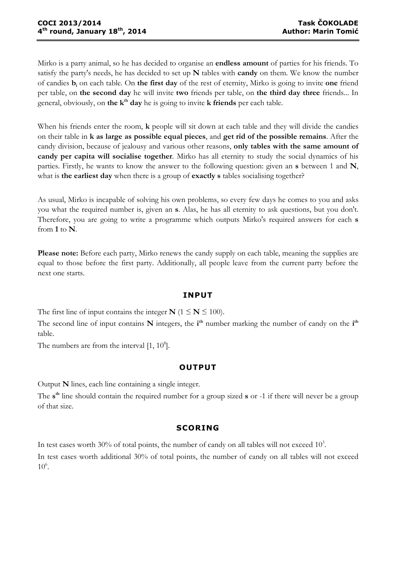Mirko is a party animal, so he has decided to organise an **endless amount** of parties for his friends. To satisfy the party's needs, he has decided to set up **N** tables with **candy** on them. We know the number of candies **b<sup>i</sup>** on each table. On **the first day** of the rest of eternity, Mirko is going to invite **one** friend per table, on **the second day** he will invite **two** friends per table, on **the third day three** friends... In general, obviously, on **the kth day** he is going to invite **k friends** per each table.

When his friends enter the room, **k** people will sit down at each table and they will divide the candies on their table in **k as large as possible equal pieces**, and **get rid of the possible remains**. After the candy division, because of jealousy and various other reasons, **only tables with the same amount of candy per capita will socialise together**. Mirko has all eternity to study the social dynamics of his parties. Firstly, he wants to know the answer to the following question: given an **s** between 1 and **N**, what is **the earliest day** when there is a group of **exactly s** tables socialising together?

As usual, Mirko is incapable of solving his own problems, so every few days he comes to you and asks you what the required number is, given an **s**. Alas, he has all eternity to ask questions, but you don't. Therefore, you are going to write a programme which outputs Mirko's required answers for each **s** from **1** to **N**.

**Please note:** Before each party, Mirko renews the candy supply on each table, meaning the supplies are equal to those before the first party. Additionally, all people leave from the current party before the next one starts.

### **INPUT**

The first line of input contains the integer  $N$  ( $1 \le N \le 100$ ).

The second line of input contains N integers, the *i*<sup>th</sup> number marking the number of candy on the *i*<sup>th</sup> table.

The numbers are from the interval  $[1, 10^8]$ .

### **OUTPUT**

Output **N** lines, each line containing a single integer.

The **s th** line should contain the required number for a group sized **s** or -1 if there will never be a group of that size.

### **SCORING**

In test cases worth 30% of total points, the number of candy on all tables will not exceed  $10<sup>3</sup>$ .

In test cases worth additional 30% of total points, the number of candy on all tables will not exceed  $10^6$ .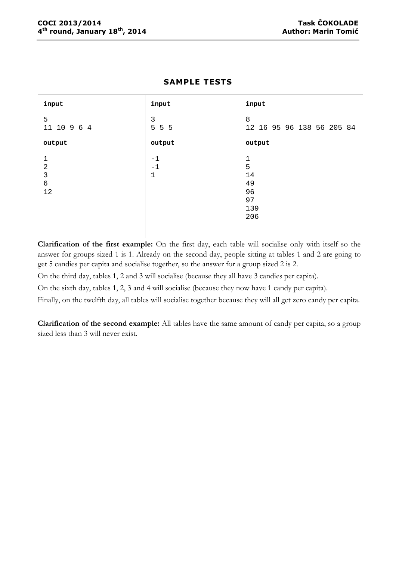| input                                                              | input                        | input                                                  |
|--------------------------------------------------------------------|------------------------------|--------------------------------------------------------|
| 5<br>11 10 9 6 4                                                   | 3<br>5 5 5                   | 8<br>12 16 95 96 138 56 205 84                         |
| output                                                             | output                       | output                                                 |
| $\mathbf{1}$<br>$\overline{2}$<br>$\mathsf{3}$<br>$\epsilon$<br>12 | $-1$<br>$-1$<br>$\mathbf{1}$ | $\mathbf 1$<br>5<br>14<br>49<br>96<br>97<br>139<br>206 |

**Clarification of the first example:** On the first day, each table will socialise only with itself so the answer for groups sized 1 is 1. Already on the second day, people sitting at tables 1 and 2 are going to get 5 candies per capita and socialise together, so the answer for a group sized 2 is 2.

On the third day, tables 1, 2 and 3 will socialise (because they all have 3 candies per capita).

On the sixth day, tables 1, 2, 3 and 4 will socialise (because they now have 1 candy per capita).

Finally, on the twelfth day, all tables will socialise together because they will all get zero candy per capita.

**Clarification of the second example:** All tables have the same amount of candy per capita, so a group sized less than 3 will never exist.